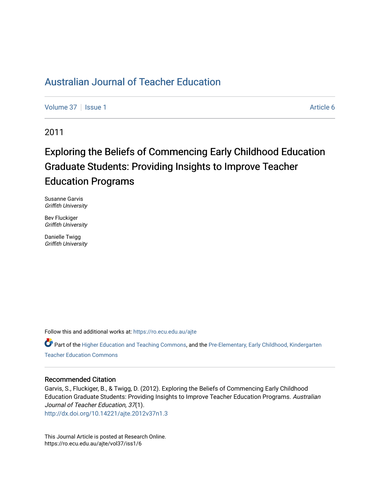# [Australian Journal of Teacher Education](https://ro.ecu.edu.au/ajte)

[Volume 37](https://ro.ecu.edu.au/ajte/vol37) | [Issue 1](https://ro.ecu.edu.au/ajte/vol37/iss1) Article 6

2011

# Exploring the Beliefs of Commencing Early Childhood Education Graduate Students: Providing Insights to Improve Teacher Education Programs

Susanne Garvis Griffith University

Bev Fluckiger Griffith University

Danielle Twigg Griffith University

Follow this and additional works at: [https://ro.ecu.edu.au/ajte](https://ro.ecu.edu.au/ajte?utm_source=ro.ecu.edu.au%2Fajte%2Fvol37%2Fiss1%2F6&utm_medium=PDF&utm_campaign=PDFCoverPages) 

Part of the [Higher Education and Teaching Commons](http://network.bepress.com/hgg/discipline/806?utm_source=ro.ecu.edu.au%2Fajte%2Fvol37%2Fiss1%2F6&utm_medium=PDF&utm_campaign=PDFCoverPages), and the [Pre-Elementary, Early Childhood, Kindergarten](http://network.bepress.com/hgg/discipline/808?utm_source=ro.ecu.edu.au%2Fajte%2Fvol37%2Fiss1%2F6&utm_medium=PDF&utm_campaign=PDFCoverPages) [Teacher Education Commons](http://network.bepress.com/hgg/discipline/808?utm_source=ro.ecu.edu.au%2Fajte%2Fvol37%2Fiss1%2F6&utm_medium=PDF&utm_campaign=PDFCoverPages) 

# Recommended Citation

Garvis, S., Fluckiger, B., & Twigg, D. (2012). Exploring the Beliefs of Commencing Early Childhood Education Graduate Students: Providing Insights to Improve Teacher Education Programs. Australian Journal of Teacher Education, 37(1).

<http://dx.doi.org/10.14221/ajte.2012v37n1.3>

This Journal Article is posted at Research Online. https://ro.ecu.edu.au/ajte/vol37/iss1/6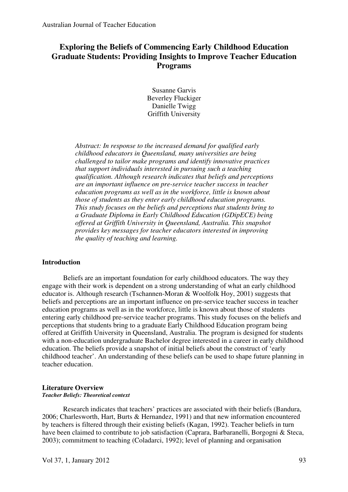# **Exploring the Beliefs of Commencing Early Childhood Education Graduate Students: Providing Insights to Improve Teacher Education Programs**

Susanne Garvis Beverley Fluckiger Danielle Twigg Griffith University

*Abstract: In response to the increased demand for qualified early childhood educators in Queensland, many universities are being challenged to tailor make programs and identify innovative practices that support individuals interested in pursuing such a teaching qualification. Although research indicates that beliefs and perceptions are an important influence on pre-service teacher success in teacher education programs as well as in the workforce, little is known about those of students as they enter early childhood education programs. This study focuses on the beliefs and perceptions that students bring to a Graduate Diploma in Early Childhood Education (GDipECE) being offered at Griffith University in Queensland, Australia. This snapshot provides key messages for teacher educators interested in improving the quality of teaching and learning.* 

# **Introduction**

Beliefs are an important foundation for early childhood educators. The way they engage with their work is dependent on a strong understanding of what an early childhood educator is. Although research (Tschannen-Moran & Woolfolk Hoy, 2001) suggests that beliefs and perceptions are an important influence on pre-service teacher success in teacher education programs as well as in the workforce, little is known about those of students entering early childhood pre-service teacher programs. This study focuses on the beliefs and perceptions that students bring to a graduate Early Childhood Education program being offered at Griffith University in Queensland, Australia. The program is designed for students with a non-education undergraduate Bachelor degree interested in a career in early childhood education. The beliefs provide a snapshot of initial beliefs about the construct of 'early childhood teacher'. An understanding of these beliefs can be used to shape future planning in teacher education.

#### **Literature Overview**  *Teacher Beliefs: Theoretical context*

Research indicates that teachers' practices are associated with their beliefs (Bandura, 2006; Charlesworth, Hart, Burts & Hernandez, 1991) and that new information encountered by teachers is filtered through their existing beliefs (Kagan, 1992). Teacher beliefs in turn have been claimed to contribute to job satisfaction (Caprara, Barbaranelli, Borgogni & Steca, 2003); commitment to teaching (Coladarci, 1992); level of planning and organisation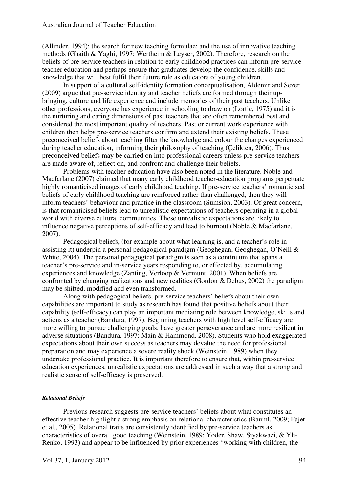(Allinder, 1994); the search for new teaching formulae; and the use of innovative teaching methods (Ghaith & Yaghi, 1997; Wertheim & Leyser, 2002). Therefore, research on the beliefs of pre-service teachers in relation to early childhood practices can inform pre-service teacher education and perhaps ensure that graduates develop the confidence, skills and knowledge that will best fulfil their future role as educators of young children.

In support of a cultural self-identity formation conceptualisation, Aldemir and Sezer (2009) argue that pre-service identity and teacher beliefs are formed through their upbringing, culture and life experience and include memories of their past teachers. Unlike other professions, everyone has experience in schooling to draw on (Lortie, 1975) and it is the nurturing and caring dimensions of past teachers that are often remembered best and considered the most important quality of teachers. Past or current work experience with children then helps pre-service teachers confirm and extend their existing beliefs. These preconceived beliefs about teaching filter the knowledge and colour the changes experienced during teacher education, informing their philosophy of teaching (Çelikten, 2006). Thus preconceived beliefs may be carried on into professional careers unless pre-service teachers are made aware of, reflect on, and confront and challenge their beliefs.

Problems with teacher education have also been noted in the literature. Noble and Macfarlane (2007) claimed that many early childhood teacher-education programs perpetuate highly romanticised images of early childhood teaching. If pre-service teachers' romanticised beliefs of early childhood teaching are reinforced rather than challenged, then they will inform teachers' behaviour and practice in the classroom (Sumsion, 2003). Of great concern, is that romanticised beliefs lead to unrealistic expectations of teachers operating in a global world with diverse cultural communities. These unrealistic expectations are likely to influence negative perceptions of self-efficacy and lead to burnout (Noble & Macfarlane, 2007).

Pedagogical beliefs, (for example about what learning is, and a teacher's role in assisting it) underpin a personal pedagogical paradigm (Geoghegan, Geoghegan, O'Neill & White, 2004). The personal pedagogical paradigm is seen as a continuum that spans a teacher's pre-service and in-service years responding to, or effected by, accumulating experiences and knowledge (Zanting, Verloop & Vermunt, 2001). When beliefs are confronted by changing realizations and new realities (Gordon & Debus, 2002) the paradigm may be shifted, modified and even transformed.

Along with pedagogical beliefs, pre-service teachers' beliefs about their own capabilities are important to study as research has found that positive beliefs about their capability (self-efficacy) can play an important mediating role between knowledge, skills and actions as a teacher (Bandura, 1997). Beginning teachers with high level self-efficacy are more willing to pursue challenging goals, have greater perseverance and are more resilient in adverse situations (Bandura, 1997; Main & Hammond, 2008). Students who hold exaggerated expectations about their own success as teachers may devalue the need for professional preparation and may experience a severe reality shock (Weinstein, 1989) when they undertake professional practice. It is important therefore to ensure that, within pre-service education experiences, unrealistic expectations are addressed in such a way that a strong and realistic sense of self-efficacy is preserved.

# *Relational Beliefs*

Previous research suggests pre-service teachers' beliefs about what constitutes an effective teacher highlight a strong emphasis on relational characteristics (Bauml, 2009; Fajet et al., 2005). Relational traits are consistently identified by pre-service teachers as characteristics of overall good teaching (Weinstein, 1989; Yoder, Shaw, Siyakwazi, & Yli-Renko, 1993) and appear to be influenced by prior experiences "working with children, the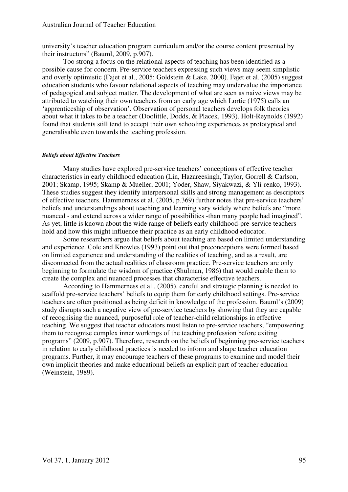university's teacher education program curriculum and/or the course content presented by their instructors" (Bauml, 2009, p.907).

Too strong a focus on the relational aspects of teaching has been identified as a possible cause for concern. Pre-service teachers expressing such views may seem simplistic and overly optimistic (Fajet et al., 2005; Goldstein & Lake, 2000). Fajet et al. (2005) suggest education students who favour relational aspects of teaching may undervalue the importance of pedagogical and subject matter. The development of what are seen as naive views may be attributed to watching their own teachers from an early age which Lortie (1975) calls an 'apprenticeship of observation'. Observation of personal teachers develops folk theories about what it takes to be a teacher (Doolittle, Dodds, & Placek, 1993). Holt-Reynolds (1992) found that students still tend to accept their own schooling experiences as prototypical and generalisable even towards the teaching profession.

#### *Beliefs about Effective Teachers*

Many studies have explored pre-service teachers' conceptions of effective teacher characteristics in early childhood education (Lin, Hazareesingh, Taylor, Gorrell & Carlson, 2001; Skamp, 1995; Skamp & Mueller, 2001; Yoder, Shaw, Siyakwazi, & Yli-renko, 1993). These studies suggest they identify interpersonal skills and strong management as descriptors of effective teachers. Hammerness et al. (2005, p.369) further notes that pre-service teachers' beliefs and understandings about teaching and learning vary widely where beliefs are "more nuanced - and extend across a wider range of possibilities -than many people had imagined". As yet, little is known about the wide range of beliefs early childhood-pre-service teachers hold and how this might influence their practice as an early childhood educator.

Some researchers argue that beliefs about teaching are based on limited understanding and experience. Cole and Knowles (1993) point out that preconceptions were formed based on limited experience and understanding of the realities of teaching, and as a result, are disconnected from the actual realities of classroom practice. Pre-service teachers are only beginning to formulate the wisdom of practice (Shulman, 1986) that would enable them to create the complex and nuanced processes that characterise effective teachers.

According to Hammerness et al., (2005), careful and strategic planning is needed to scaffold pre-service teachers' beliefs to equip them for early childhood settings. Pre-service teachers are often positioned as being deficit in knowledge of the profession. Bauml's (2009) study disrupts such a negative view of pre-service teachers by showing that they are capable of recognising the nuanced, purposeful role of teacher-child relationships in effective teaching. We suggest that teacher educators must listen to pre-service teachers, "empowering them to recognise complex inner workings of the teaching profession before exiting programs" (2009, p.907). Therefore, research on the beliefs of beginning pre-service teachers in relation to early childhood practices is needed to inform and shape teacher education programs. Further, it may encourage teachers of these programs to examine and model their own implicit theories and make educational beliefs an explicit part of teacher education (Weinstein, 1989).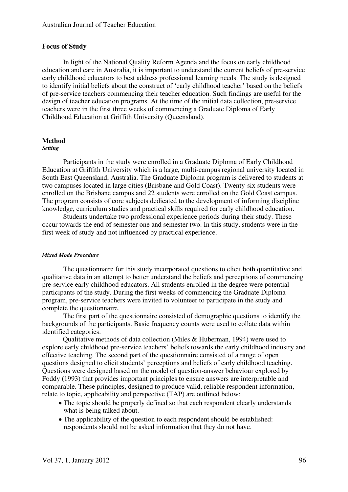# **Focus of Study**

In light of the National Quality Reform Agenda and the focus on early childhood education and care in Australia, it is important to understand the current beliefs of pre-service early childhood educators to best address professional learning needs. The study is designed to identify initial beliefs about the construct of 'early childhood teacher' based on the beliefs of pre-service teachers commencing their teacher education. Such findings are useful for the design of teacher education programs. At the time of the initial data collection, pre-service teachers were in the first three weeks of commencing a Graduate Diploma of Early Childhood Education at Griffith University (Queensland).

# **Method**

#### *Setting*

Participants in the study were enrolled in a Graduate Diploma of Early Childhood Education at Griffith University which is a large, multi-campus regional university located in South East Queensland, Australia. The Graduate Diploma program is delivered to students at two campuses located in large cities (Brisbane and Gold Coast). Twenty-six students were enrolled on the Brisbane campus and 22 students were enrolled on the Gold Coast campus. The program consists of core subjects dedicated to the development of informing discipline knowledge, curriculum studies and practical skills required for early childhood education.

Students undertake two professional experience periods during their study. These occur towards the end of semester one and semester two. In this study, students were in the first week of study and not influenced by practical experience.

#### *Mixed Mode Procedure*

The questionnaire for this study incorporated questions to elicit both quantitative and qualitative data in an attempt to better understand the beliefs and perceptions of commencing pre-service early childhood educators. All students enrolled in the degree were potential participants of the study. During the first weeks of commencing the Graduate Diploma program, pre-service teachers were invited to volunteer to participate in the study and complete the questionnaire.

The first part of the questionnaire consisted of demographic questions to identify the backgrounds of the participants. Basic frequency counts were used to collate data within identified categories.

Qualitative methods of data collection (Miles & Huberman, 1994) were used to explore early childhood pre-service teachers' beliefs towards the early childhood industry and effective teaching. The second part of the questionnaire consisted of a range of open questions designed to elicit students' perceptions and beliefs of early childhood teaching. Questions were designed based on the model of question-answer behaviour explored by Foddy (1993) that provides important principles to ensure answers are interpretable and comparable. These principles, designed to produce valid, reliable respondent information, relate to topic, applicability and perspective (TAP) are outlined below:

- The topic should be properly defined so that each respondent clearly understands what is being talked about.
- The applicability of the question to each respondent should be established: respondents should not be asked information that they do not have.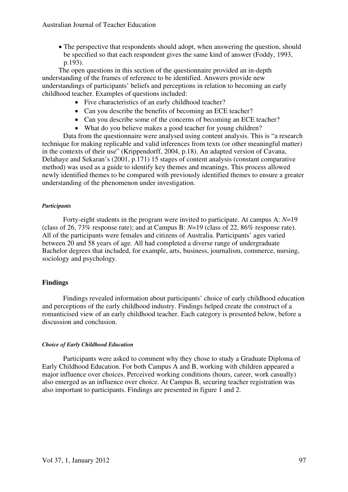• The perspective that respondents should adopt, when answering the question, should be specified so that each respondent gives the same kind of answer (Foddy, 1993, p.193).

The open questions in this section of the questionnaire provided an in-depth understanding of the frames of reference to be identified. Answers provide new understandings of participants' beliefs and perceptions in relation to becoming an early childhood teacher. Examples of questions included:

- Five characteristics of an early childhood teacher?
- Can you describe the benefits of becoming an ECE teacher?
- Can you describe some of the concerns of becoming an ECE teacher?
- What do you believe makes a good teacher for young children?

Data from the questionnaire were analysed using content analysis. This is "a research technique for making replicable and valid inferences from texts (or other meaningful matter) in the contexts of their use" (Krippendorff, 2004, p.18). An adapted version of Cavana, Delahaye and Sekaran's (2001, p.171) 15 stages of content analysis (constant comparative method) was used as a guide to identify key themes and meanings. This process allowed newly identified themes to be compared with previously identified themes to ensure a greater understanding of the phenomenon under investigation.

# *Participants*

Forty-eight students in the program were invited to participate. At campus A: *N*=19 (class of 26, 73% response rate); and at Campus B: *N*=19 (class of 22, 86% response rate). All of the participants were females and citizens of Australia. Participants' ages varied between 20 and 58 years of age. All had completed a diverse range of undergraduate Bachelor degrees that included, for example, arts, business, journalism, commerce, nursing, sociology and psychology.

# **Findings**

Findings revealed information about participants' choice of early childhood education and perceptions of the early childhood industry. Findings helped create the construct of a romanticised view of an early childhood teacher. Each category is presented below, before a discussion and conclusion.

# *Choice of Early Childhood Education*

Participants were asked to comment why they chose to study a Graduate Diploma of Early Childhood Education. For both Campus A and B, working with children appeared a major influence over choices. Perceived working conditions (hours, career, work casually) also emerged as an influence over choice. At Campus B, securing teacher registration was also important to participants. Findings are presented in figure 1 and 2.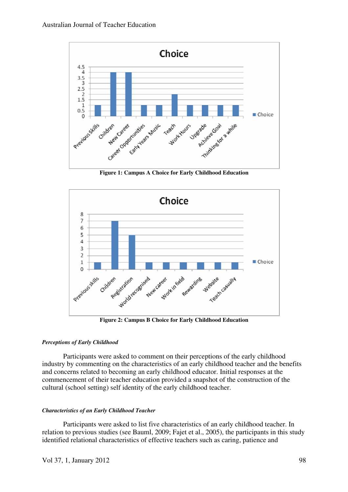

**Figure 1: Campus A Choice for Early Childhood Education** 



**Figure 2: Campus B Choice for Early Childhood Education** 

# *Perceptions of Early Childhood*

Participants were asked to comment on their perceptions of the early childhood industry by commenting on the characteristics of an early childhood teacher and the benefits and concerns related to becoming an early childhood educator. Initial responses at the commencement of their teacher education provided a snapshot of the construction of the cultural (school setting) self identity of the early childhood teacher.

# *Characteristics of an Early Childhood Teacher*

Participants were asked to list five characteristics of an early childhood teacher. In relation to previous studies (see Bauml, 2009; Fajet et al., 2005), the participants in this study identified relational characteristics of effective teachers such as caring, patience and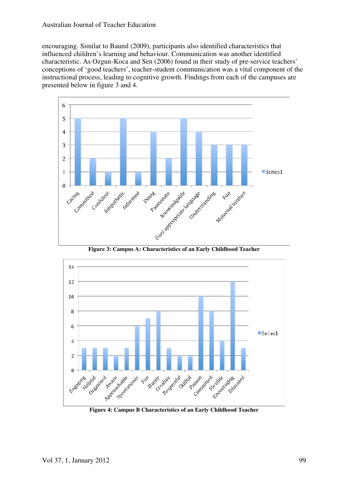# Australian Journal of Teacher Education

encouraging. Similar to Bauml (2009), participants also identified characteristics that influenced children's learning and behaviour. Communication was another identified characteristic. As Ozgun-Koca and Sen (2006) found in their study of pre-service teachers' conceptions of 'good teachers', teacher-student communication was a vital component of the instructional process, leading to cognitive growth. Findings from each of the campuses are presented below in figure 3 and 4.





**Figure 4: Campus B Characteristics of an Early Childhood Teacher**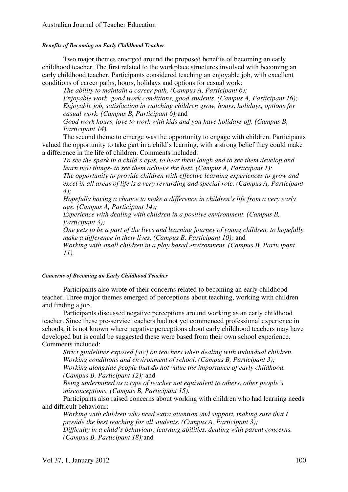# *Benefits of Becoming an Early Childhood Teacher*

Two major themes emerged around the proposed benefits of becoming an early childhood teacher. The first related to the workplace structures involved with becoming an early childhood teacher. Participants considered teaching an enjoyable job, with excellent conditions of career paths, hours, holidays and options for casual work:

*The ability to maintain a career path. (Campus A, Participant 6); Enjoyable work, good work conditions, good students. (Campus A, Participant 16); Enjoyable job, satisfaction in watching children grow, hours, holidays, options for casual work. (Campus B, Participant 6);*and

*Good work hours, love to work with kids and you have holidays off. (Campus B, Participant 14).* 

The second theme to emerge was the opportunity to engage with children. Participants valued the opportunity to take part in a child's learning, with a strong belief they could make a difference in the life of children. Comments included:

*To see the spark in a child's eyes, to hear them laugh and to see them develop and learn new things- to see them achieve the best. (Campus A, Participant 1); The opportunity to provide children with effective learning experiences to grow and excel in all areas of life is a very rewarding and special role. (Campus A, Participant 4);* 

*Hopefully having a chance to make a difference in children's life from a very early age. (Campus A, Participant 14);* 

*Experience with dealing with children in a positive environment. (Campus B, Participant 3);* 

*One gets to be a part of the lives and learning journey of young children, to hopefully make a difference in their lives. (Campus B, Participant 10);* and *Working with small children in a play based environment. (Campus B, Participant 11).* 

# *Concerns of Becoming an Early Childhood Teacher*

Participants also wrote of their concerns related to becoming an early childhood teacher. Three major themes emerged of perceptions about teaching, working with children and finding a job.

Participants discussed negative perceptions around working as an early childhood teacher. Since these pre-service teachers had not yet commenced professional experience in schools, it is not known where negative perceptions about early childhood teachers may have developed but is could be suggested these were based from their own school experience. Comments included:

*Strict guidelines exposed [sic] on teachers when dealing with individual children. Working conditions and environment of school. (Campus B, Participant 3); Working alongside people that do not value the importance of early childhood. (Campus B, Participant 12);* and

*Being undermined as a type of teacher not equivalent to others, other people's misconceptions. (Campus B, Participant 15).* 

Participants also raised concerns about working with children who had learning needs and difficult behaviour:

*Working with children who need extra attention and support, making sure that I provide the best teaching for all students. (Campus A, Participant 3); Difficulty in a child's behaviour, learning abilities, dealing with parent concerns. (Campus B, Participant 18);*and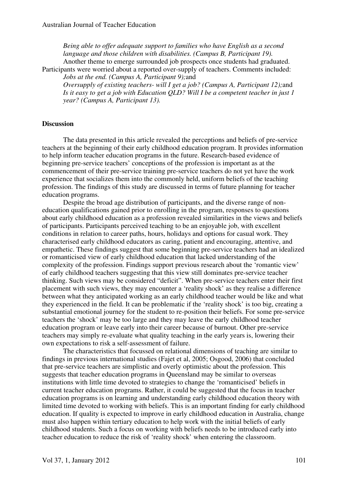*Being able to offer adequate support to families who have English as a second language and those children with disabilities. (Campus B, Participant 19).*  Another theme to emerge surrounded job prospects once students had graduated.

Participants were worried about a reported over-supply of teachers. Comments included: *Jobs at the end. (Campus A, Participant 9);*and

*Oversupply of existing teachers- will I get a job? (Campus A, Participant 12);*and *Is it easy to get a job with Education QLD? Will I be a competent teacher in just 1 year? (Campus A, Participant 13).* 

#### **Discussion**

The data presented in this article revealed the perceptions and beliefs of pre-service teachers at the beginning of their early childhood education program. It provides information to help inform teacher education programs in the future. Research-based evidence of beginning pre-service teachers' conceptions of the profession is important as at the commencement of their pre-service training pre-service teachers do not yet have the work experience that socializes them into the commonly held, uniform beliefs of the teaching profession. The findings of this study are discussed in terms of future planning for teacher education programs.

Despite the broad age distribution of participants, and the diverse range of noneducation qualifications gained prior to enrolling in the program, responses to questions about early childhood education as a profession revealed similarities in the views and beliefs of participants. Participants perceived teaching to be an enjoyable job, with excellent conditions in relation to career paths, hours, holidays and options for casual work. They characterised early childhood educators as caring, patient and encouraging, attentive, and empathetic. These findings suggest that some beginning pre-service teachers had an idealized or romanticised view of early childhood education that lacked understanding of the complexity of the profession. Findings support previous research about the 'romantic view' of early childhood teachers suggesting that this view still dominates pre-service teacher thinking. Such views may be considered "deficit". When pre-service teachers enter their first placement with such views, they may encounter a 'reality shock' as they realise a difference between what they anticipated working as an early childhood teacher would be like and what they experienced in the field. It can be problematic if the 'reality shock' is too big, creating a substantial emotional journey for the student to re-position their beliefs. For some pre-service teachers the 'shock' may be too large and they may leave the early childhood teacher education program or leave early into their career because of burnout. Other pre-service teachers may simply re-evaluate what quality teaching in the early years is, lowering their own expectations to risk a self-assessment of failure.

The characteristics that focussed on relational dimensions of teaching are similar to findings in previous international studies (Fajet et al, 2005; Osgood, 2006) that concluded that pre-service teachers are simplistic and overly optimistic about the profession. This suggests that teacher education programs in Queensland may be similar to overseas institutions with little time devoted to strategies to change the 'romanticised' beliefs in current teacher education programs. Rather, it could be suggested that the focus in teacher education programs is on learning and understanding early childhood education theory with limited time devoted to working with beliefs. This is an important finding for early childhood education. If quality is expected to improve in early childhood education in Australia, change must also happen within tertiary education to help work with the initial beliefs of early childhood students. Such a focus on working with beliefs needs to be introduced early into teacher education to reduce the risk of 'reality shock' when entering the classroom.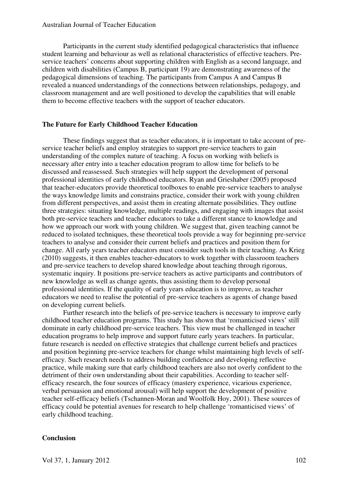# Australian Journal of Teacher Education

Participants in the current study identified pedagogical characteristics that influence student learning and behaviour as well as relational characteristics of effective teachers. Preservice teachers' concerns about supporting children with English as a second language, and children with disabilities (Campus B, participant 19) are demonstrating awareness of the pedagogical dimensions of teaching. The participants from Campus A and Campus B revealed a nuanced understandings of the connections between relationships, pedagogy, and classroom management and are well positioned to develop the capabilities that will enable them to become effective teachers with the support of teacher educators.

# **The Future for Early Childhood Teacher Education**

These findings suggest that as teacher educators, it is important to take account of preservice teacher beliefs and employ strategies to support pre-service teachers to gain understanding of the complex nature of teaching. A focus on working with beliefs is necessary after entry into a teacher education program to allow time for beliefs to be discussed and reassessed. Such strategies will help support the development of personal professional identities of early childhood educators. Ryan and Grieshaber (2005) proposed that teacher-educators provide theoretical toolboxes to enable pre-service teachers to analyse the ways knowledge limits and constrains practice, consider their work with young children from different perspectives, and assist them in creating alternate possibilities. They outline three strategies: situating knowledge, multiple readings, and engaging with images that assist both pre-service teachers and teacher educators to take a different stance to knowledge and how we approach our work with young children. We suggest that, given teaching cannot be reduced to isolated techniques, these theoretical tools provide a way for beginning pre-service teachers to analyse and consider their current beliefs and practices and position them for change. All early years teacher educators must consider such tools in their teaching. As Krieg (2010) suggests, it then enables teacher-educators to work together with classroom teachers and pre-service teachers to develop shared knowledge about teaching through rigorous, systematic inquiry. It positions pre-service teachers as active participants and contributors of new knowledge as well as change agents, thus assisting them to develop personal professional identities. If the quality of early years education is to improve, as teacher educators we need to realise the potential of pre-service teachers as agents of change based on developing current beliefs.

Further research into the beliefs of pre-service teachers is necessary to improve early childhood teacher education programs. This study has shown that 'romanticised views' still dominate in early childhood pre-service teachers. This view must be challenged in teacher education programs to help improve and support future early years teachers. In particular, future research is needed on effective strategies that challenge current beliefs and practices and position beginning pre-service teachers for change whilst maintaining high levels of selfefficacy. Such research needs to address building confidence and developing reflective practice, while making sure that early childhood teachers are also not overly confident to the detriment of their own understanding about their capabilities. According to teacher selfefficacy research, the four sources of efficacy (mastery experience, vicarious experience, verbal persuasion and emotional arousal) will help support the development of positive teacher self-efficacy beliefs (Tschannen-Moran and Woolfolk Hoy, 2001). These sources of efficacy could be potential avenues for research to help challenge 'romanticised views' of early childhood teaching.

#### **Conclusion**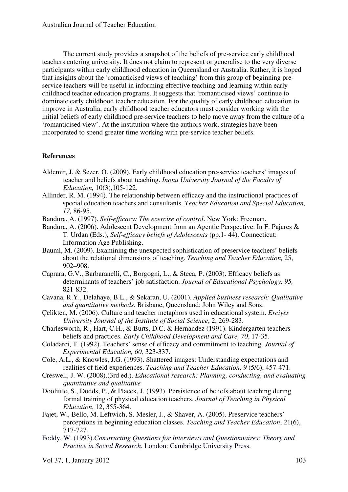The current study provides a snapshot of the beliefs of pre-service early childhood teachers entering university. It does not claim to represent or generalise to the very diverse participants within early childhood education in Queensland or Australia. Rather, it is hoped that insights about the 'romanticised views of teaching' from this group of beginning preservice teachers will be useful in informing effective teaching and learning within early childhood teacher education programs. It suggests that 'romanticised views' continue to dominate early childhood teacher education. For the quality of early childhood education to improve in Australia, early childhood teacher educators must consider working with the initial beliefs of early childhood pre-service teachers to help move away from the culture of a 'romanticised view'. At the institution where the authors work, strategies have been incorporated to spend greater time working with pre-service teacher beliefs.

# **References**

- Aldemir, J. & Sezer, O. (2009). Early childhood education pre-service teachers' images of teacher and beliefs about teaching. *Inonu University Journal of the Faculty of Education,* 10(3),105-122.
- Allinder, R. M. (1994). The relationship between efficacy and the instructional practices of special education teachers and consultants. *Teacher Education and Special Education, 17,* 86-95.
- Bandura, A. (1997). *Self-efficacy: The exercise of control*. New York: Freeman.
- Bandura, A. (2006). Adolescent Development from an Agentic Perspective. In F. Pajares & T. Urdan (Eds.), *Self-efficacy beliefs of Adolescents* (pp.1- 44). Connecticut: Information Age Publishing.
- Bauml, M. (2009). Examining the unexpected sophistication of preservice teachers' beliefs about the relational dimensions of teaching. *Teaching and Teacher Education,* 25, 902–908.
- Caprara, G.V., Barbaranelli, C., Borgogni, L., & Steca, P. (2003). Efficacy beliefs as determinants of teachers' job satisfaction. *Journal of Educational Psychology, 95,* 821-832.
- Cavana, R.Y., Delahaye, B.L., & Sekaran, U. (2001). *Applied business research: Qualitative and quantitative methods.* Brisbane, Queensland: John Wiley and Sons.
- Çelikten, M. (2006). Culture and teacher metaphors used in educational system. *Erciyes University Journal of the Institute of Social Science*, 2, 269-283.
- Charlesworth, R., Hart, C.H., & Burts, D.C. & Hernandez (1991). Kindergarten teachers beliefs and practices. *Early Childhood Development and Care, 70*, 17-35.
- Coladarci, T. (1992). Teachers' sense of efficacy and commitment to teaching. *Journal of Experimental Education, 60,* 323-337.
- Cole, A.L., & Knowles, J.G. (1993). Shattered images: Understanding expectations and realities of field experiences. *Teaching and Teacher Education, 9* (5/6), 457-471.
- Creswell, J. W. (2008),(3rd ed.). *Educational research: Planning, conducting, and evaluating quantitative and qualitative*
- Doolittle, S., Dodds, P., & Placek, J. (1993). Persistence of beliefs about teaching during formal training of physical education teachers. *Journal of Teaching in Physical Education*, 12, 355-364.
- Fajet, W., Bello, M. Leftwich, S. Mesler, J., & Shaver, A. (2005). Preservice teachers' perceptions in beginning education classes. *Teaching and Teacher Education*, 21(6), 717-727.
- Foddy, W. (1993).*Constructing Questions for Interviews and Questionnaires: Theory and Practice in Social Research*, London: Cambridge University Press.

Vol 37, 1, January 2012 103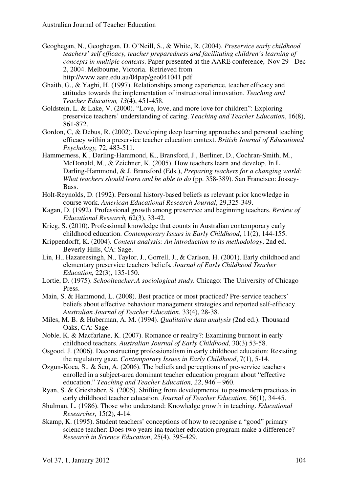- Geoghegan, N., Geoghegan, D. O'Neill, S., & White, R. (2004). *Preservice early childhood teachers' self efficacy, teacher preparedness and facilitating children's learning of concepts in multiple contexts*. Paper presented at the AARE conference, Nov 29 - Dec 2, 2004. Melbourne, Victoria. Retrieved from http://www.aare.edu.au/04pap/geo041041.pdf
- Ghaith, G., & Yaghi, H. (1997). Relationships among experience, teacher efficacy and attitudes towards the implementation of instructional innovation. *Teaching and Teacher Education, 13*(4), 451-458.
- Goldstein, L. & Lake, V. (2000). "Love, love, and more love for children": Exploring preservice teachers' understanding of caring. *Teaching and Teacher Education*, 16(8), 861-872.
- Gordon, C, & Debus, R. (2002). Developing deep learning approaches and personal teaching efficacy within a preservice teacher education context. *British Journal of Educational Psychology,* 72, 483-511.
- Hammerness, K., Darling-Hammond, K., Bransford, J., Berliner, D., Cochran-Smith, M., McDonald, M., & Zeichner, K. (2005). How teachers learn and develop. In L. Darling-Hammond, & J. Bransford (Eds.), *Preparing teachers for a changing world: What teachers should learn and be able to do* (pp. 358-389). San Francisco: Jossey-Bass.
- Holt-Reynolds, D. (1992). Personal history-based beliefs as relevant prior knowledge in course work. *American Educational Research Journal*, 29,325-349.
- Kagan, D. (1992). Professional growth among preservice and beginning teachers. *Review of Educational Research,* 62(3), 33-42.
- Krieg, S. (2010). Professional knowledge that counts in Australian contemporary early childhood education. *Contemporary Issues in Early Childhood*, 11(2), 144-155.
- Krippendorff, K. (2004). *Content analysis: An introduction to its methodology*, 2nd ed. Beverly Hills, CA: Sage.
- Lin, H., Hazareesingh, N., Taylor, J., Gorrell, J., & Carlson, H. (2001). Early childhood and elementary preservice teachers beliefs*. Journal of Early Childhood Teacher Education,* 22(3), 135-150.
- Lortie, D. (1975). *Schoolteacher:A sociological study*. Chicago: The University of Chicago Press.
- Main, S. & Hammond, L. (2008). Best practice or most practiced? Pre-service teachers' beliefs about effective behaviour management strategies and reported self-efficacy. *Australian Journal of Teacher Education*, 33(4), 28-38.
- Miles, M. B. & Huberman, A. M. (1994). *Qualitative data analysis (*2nd ed.). Thousand Oaks, CA: Sage.
- Noble, K. & Macfarlane, K. (2007). Romance or reality?: Examining burnout in early childhood teachers. *Australian Journal of Early Childhood*, 30(3) 53-58.
- Osgood, J. (2006). Deconstructing professionalism in early childhood education: Resisting the regulatory gaze. *Contemporary Issues in Early Childhood*, 7(1), 5-14.
- Ozgun-Koca, S., & Sen, A. (2006). The beliefs and perceptions of pre-service teachers enrolled in a subject-area dominant teacher education program about "effective education." *Teaching and Teacher Education, 22*, 946 – 960.
- Ryan, S. & Grieshaber, S. (2005). Shifting from developmental to postmodern practices in early childhood teacher education. *Journal of Teacher Education*, 56(1), 34-45.
- Shulman, L. (1986). Those who understand: Knowledge growth in teaching. *Educational Researcher,* 15(2), 4-14.
- Skamp, K. (1995). Student teachers' conceptions of how to recognise a "good" primary science teacher: Does two years ina teacher education program make a difference? *Research in Science Education*, 25(4), 395-429.